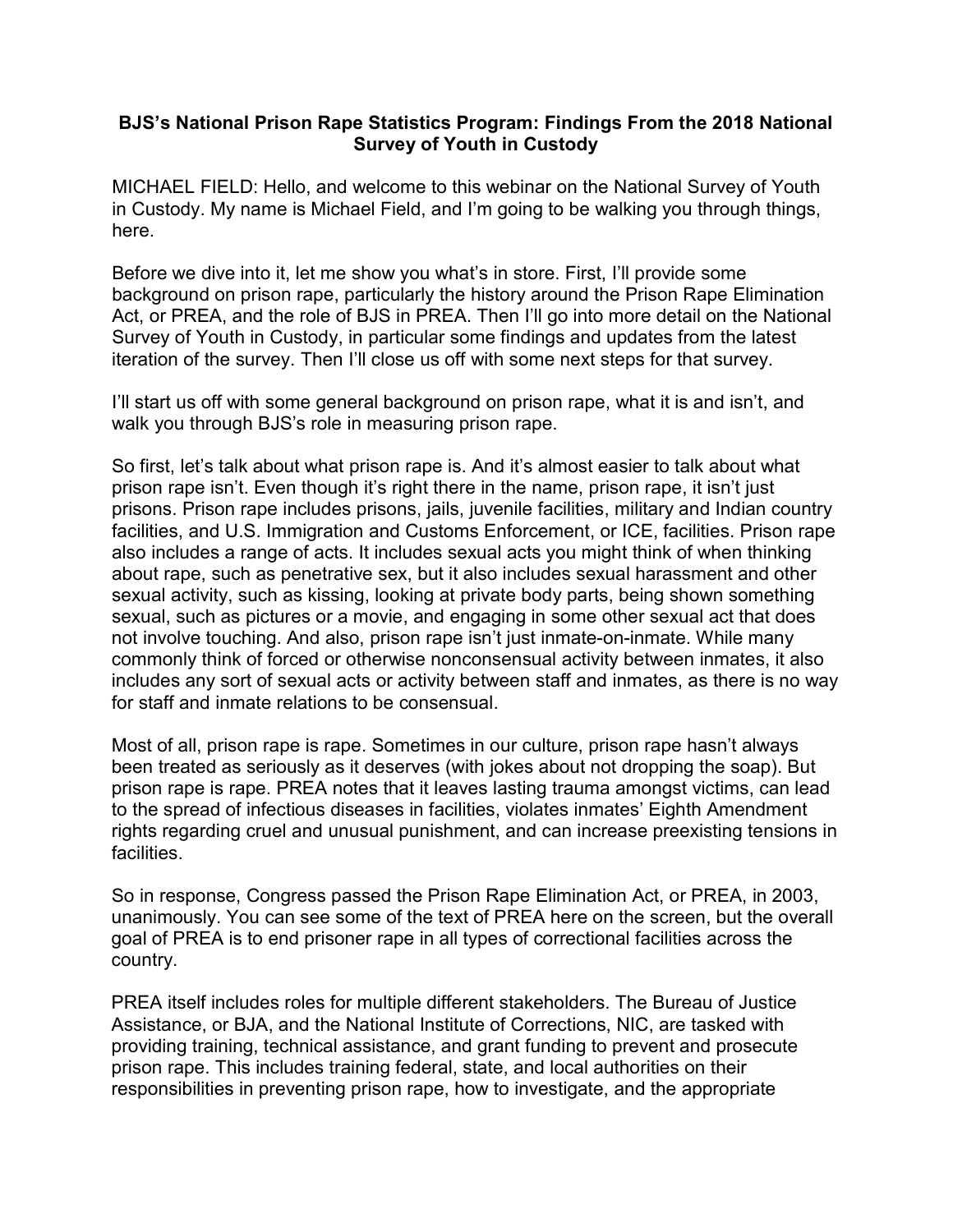## BJS's National Prison Rape Statistics Program: Findings From the 2018 National Survey of Youth in Custody

 MICHAEL FIELD: Hello, and welcome to this webinar on the National Survey of Youth in Custody. My name is Michael Field, and I'm going to be walking you through things, here.

 Before we dive into it, let me show you what's in store. First, I'll provide some background on prison rape, particularly the history around the Prison Rape Elimination Act, or PREA, and the role of BJS in PREA. Then I'll go into more detail on the National Survey of Youth in Custody, in particular some findings and updates from the latest iteration of the survey. Then I'll close us off with some next steps for that survey.

 I'll start us off with some general background on prison rape, what it is and isn't, and walk you through BJS's role in measuring prison rape.

 So first, let's talk about what prison rape is. And it's almost easier to talk about what prison rape isn't. Even though it's right there in the name, prison rape, it isn't just prisons. Prison rape includes prisons, jails, juvenile facilities, military and Indian country facilities, and U.S. Immigration and Customs Enforcement, or ICE, facilities. Prison rape also includes a range of acts. It includes sexual acts you might think of when thinking about rape, such as penetrative sex, but it also includes sexual harassment and other sexual activity, such as kissing, looking at private body parts, being shown something sexual, such as pictures or a movie, and engaging in some other sexual act that does not involve touching. And also, prison rape isn't just inmate-on-inmate. While many commonly think of forced or otherwise nonconsensual activity between inmates, it also includes any sort of sexual acts or activity between staff and inmates, as there is no way for staff and inmate relations to be consensual.

 Most of all, prison rape is rape. Sometimes in our culture, prison rape hasn't always been treated as seriously as it deserves (with jokes about not dropping the soap). But prison rape is rape. PREA notes that it leaves lasting trauma amongst victims, can lead to the spread of infectious diseases in facilities, violates inmates' Eighth Amendment rights regarding cruel and unusual punishment, and can increase preexisting tensions in facilities.

 So in response, Congress passed the Prison Rape Elimination Act, or PREA, in 2003, unanimously. You can see some of the text of PREA here on the screen, but the overall goal of PREA is to end prisoner rape in all types of correctional facilities across the country.

 PREA itself includes roles for multiple different stakeholders. The Bureau of Justice Assistance, or BJA, and the National Institute of Corrections, NIC, are tasked with providing training, technical assistance, and grant funding to prevent and prosecute prison rape. This includes training federal, state, and local authorities on their responsibilities in preventing prison rape, how to investigate, and the appropriate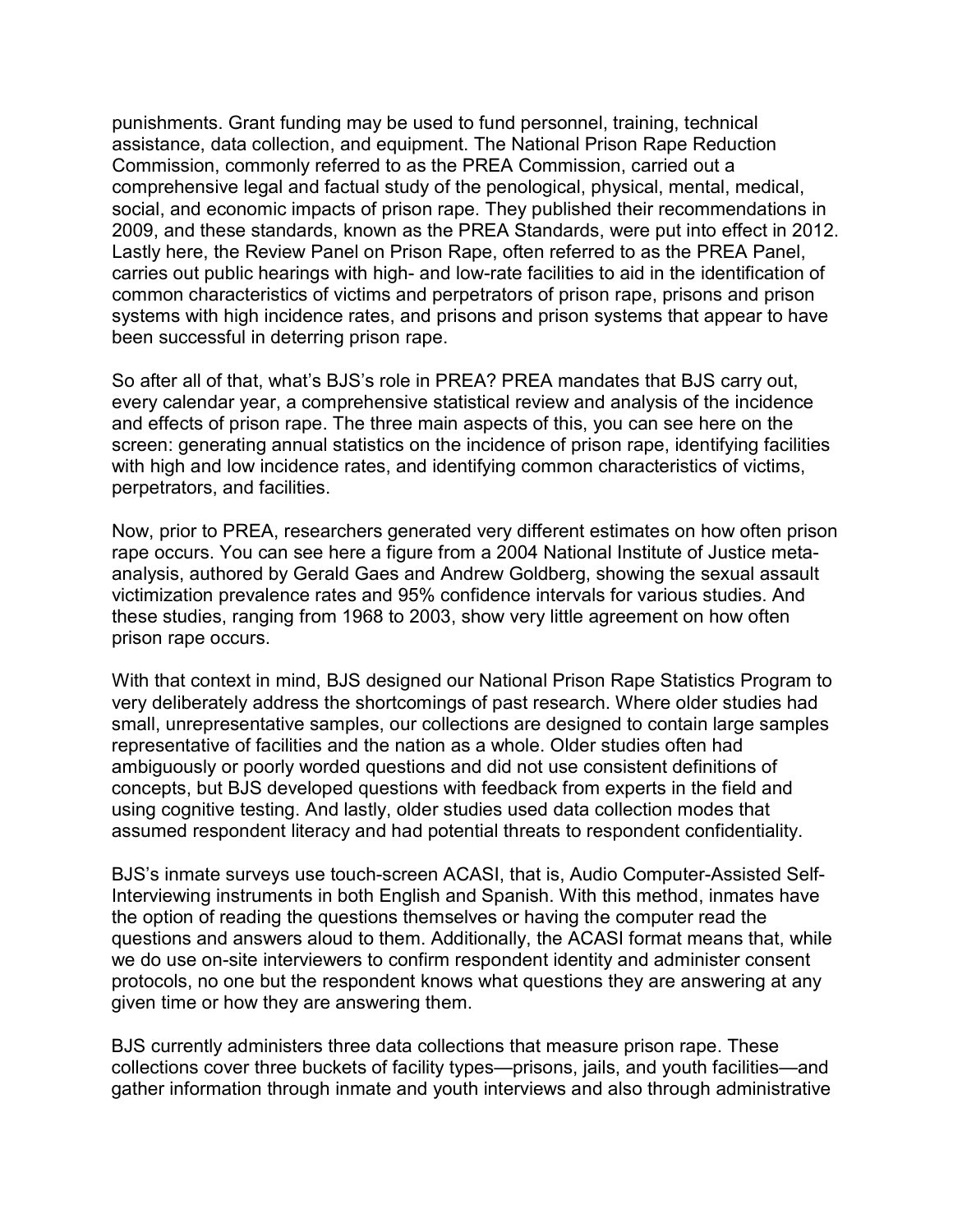punishments. Grant funding may be used to fund personnel, training, technical assistance, data collection, and equipment. The National Prison Rape Reduction Commission, commonly referred to as the PREA Commission, carried out a comprehensive legal and factual study of the penological, physical, mental, medical, social, and economic impacts of prison rape. They published their recommendations in 2009, and these standards, known as the PREA Standards, were put into effect in 2012. Lastly here, the Review Panel on Prison Rape, often referred to as the PREA Panel, carries out public hearings with high- and low-rate facilities to aid in the identification of common characteristics of victims and perpetrators of prison rape, prisons and prison systems with high incidence rates, and prisons and prison systems that appear to have been successful in deterring prison rape.

 So after all of that, what's BJS's role in PREA? PREA mandates that BJS carry out, every calendar year, a comprehensive statistical review and analysis of the incidence and effects of prison rape. The three main aspects of this, you can see here on the screen: generating annual statistics on the incidence of prison rape, identifying facilities with high and low incidence rates, and identifying common characteristics of victims, perpetrators, and facilities.

 Now, prior to PREA, researchers generated very different estimates on how often prison rape occurs. You can see here a figure from a 2004 National Institute of Justice meta- analysis, authored by Gerald Gaes and Andrew Goldberg, showing the sexual assault victimization prevalence rates and 95% confidence intervals for various studies. And these studies, ranging from 1968 to 2003, show very little agreement on how often prison rape occurs.

 With that context in mind, BJS designed our National Prison Rape Statistics Program to very deliberately address the shortcomings of past research. Where older studies had small, unrepresentative samples, our collections are designed to contain large samples representative of facilities and the nation as a whole. Older studies often had ambiguously or poorly worded questions and did not use consistent definitions of concepts, but BJS developed questions with feedback from experts in the field and using cognitive testing. And lastly, older studies used data collection modes that assumed respondent literacy and had potential threats to respondent confidentiality.

 BJS's inmate surveys use touch-screen ACASI, that is, Audio Computer-Assisted Self- Interviewing instruments in both English and Spanish. With this method, inmates have the option of reading the questions themselves or having the computer read the questions and answers aloud to them. Additionally, the ACASI format means that, while we do use on-site interviewers to confirm respondent identity and administer consent protocols, no one but the respondent knows what questions they are answering at any given time or how they are answering them.

 BJS currently administers three data collections that measure prison rape. These collections cover three buckets of facility types—prisons, jails, and youth facilities—and gather information through inmate and youth interviews and also through administrative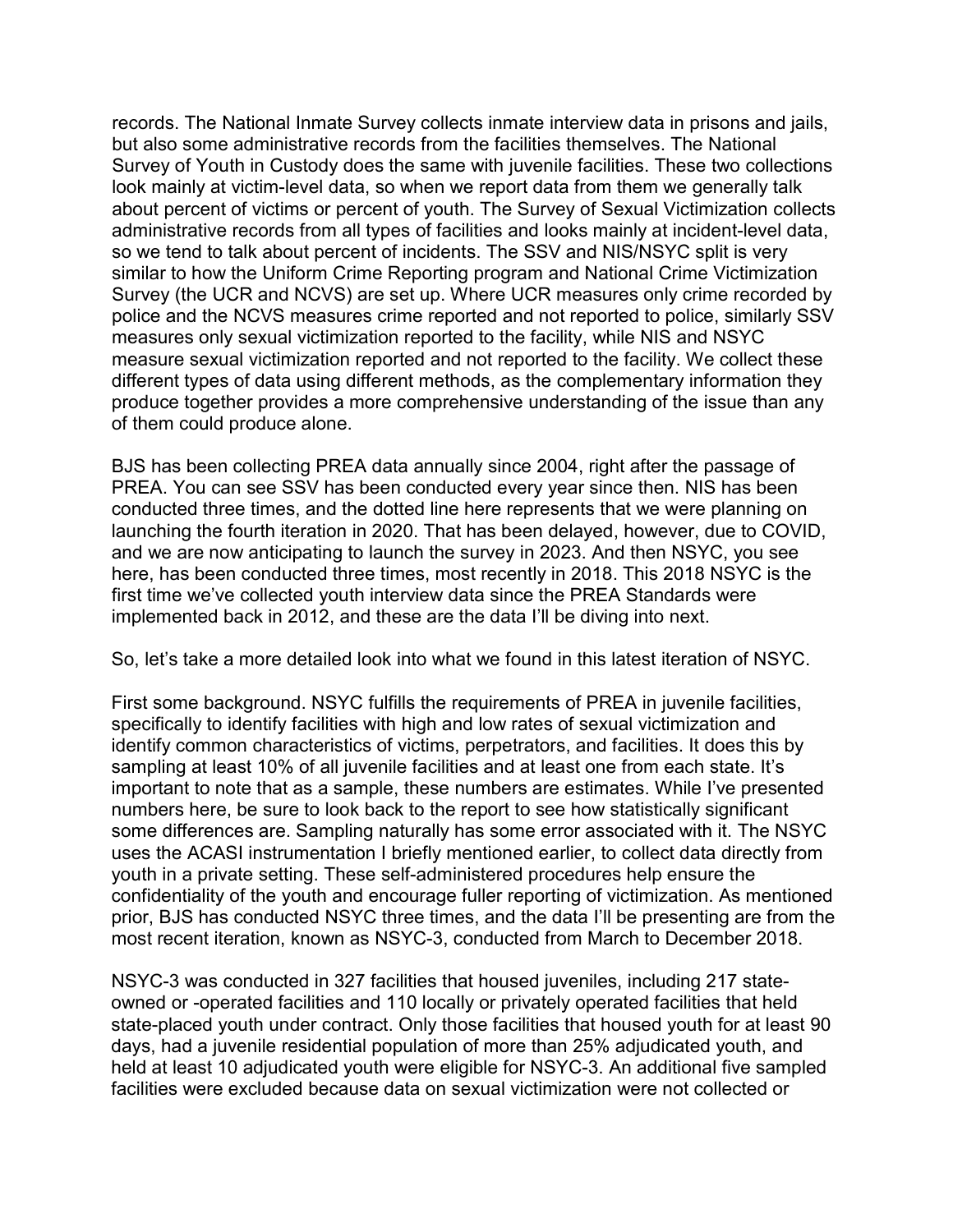records. The National Inmate Survey collects inmate interview data in prisons and jails, but also some administrative records from the facilities themselves. The National Survey of Youth in Custody does the same with juvenile facilities. These two collections look mainly at victim-level data, so when we report data from them we generally talk about percent of victims or percent of youth. The Survey of Sexual Victimization collects administrative records from all types of facilities and looks mainly at incident-level data, so we tend to talk about percent of incidents. The SSV and NIS/NSYC split is very similar to how the Uniform Crime Reporting program and National Crime Victimization Survey (the UCR and NCVS) are set up. Where UCR measures only crime recorded by police and the NCVS measures crime reported and not reported to police, similarly SSV measures only sexual victimization reported to the facility, while NIS and NSYC measure sexual victimization reported and not reported to the facility. We collect these different types of data using different methods, as the complementary information they produce together provides a more comprehensive understanding of the issue than any of them could produce alone.

 BJS has been collecting PREA data annually since 2004, right after the passage of PREA. You can see SSV has been conducted every year since then. NIS has been conducted three times, and the dotted line here represents that we were planning on launching the fourth iteration in 2020. That has been delayed, however, due to COVID, and we are now anticipating to launch the survey in 2023. And then NSYC, you see here, has been conducted three times, most recently in 2018. This 2018 NSYC is the first time we've collected youth interview data since the PREA Standards were implemented back in 2012, and these are the data I'll be diving into next.

So, let's take a more detailed look into what we found in this latest iteration of NSYC.

 First some background. NSYC fulfills the requirements of PREA in juvenile facilities, specifically to identify facilities with high and low rates of sexual victimization and identify common characteristics of victims, perpetrators, and facilities. It does this by sampling at least 10% of all juvenile facilities and at least one from each state. It's important to note that as a sample, these numbers are estimates. While I've presented numbers here, be sure to look back to the report to see how statistically significant some differences are. Sampling naturally has some error associated with it. The NSYC uses the ACASI instrumentation I briefly mentioned earlier, to collect data directly from youth in a private setting. These self-administered procedures help ensure the confidentiality of the youth and encourage fuller reporting of victimization. As mentioned prior, BJS has conducted NSYC three times, and the data I'll be presenting are from the most recent iteration, known as NSYC-3, conducted from March to December 2018.

 NSYC-3 was conducted in 327 facilities that housed juveniles, including 217 state- owned or -operated facilities and 110 locally or privately operated facilities that held state-placed youth under contract. Only those facilities that housed youth for at least 90 days, had a juvenile residential population of more than 25% adjudicated youth, and held at least 10 adjudicated youth were eligible for NSYC-3. An additional five sampled facilities were excluded because data on sexual victimization were not collected or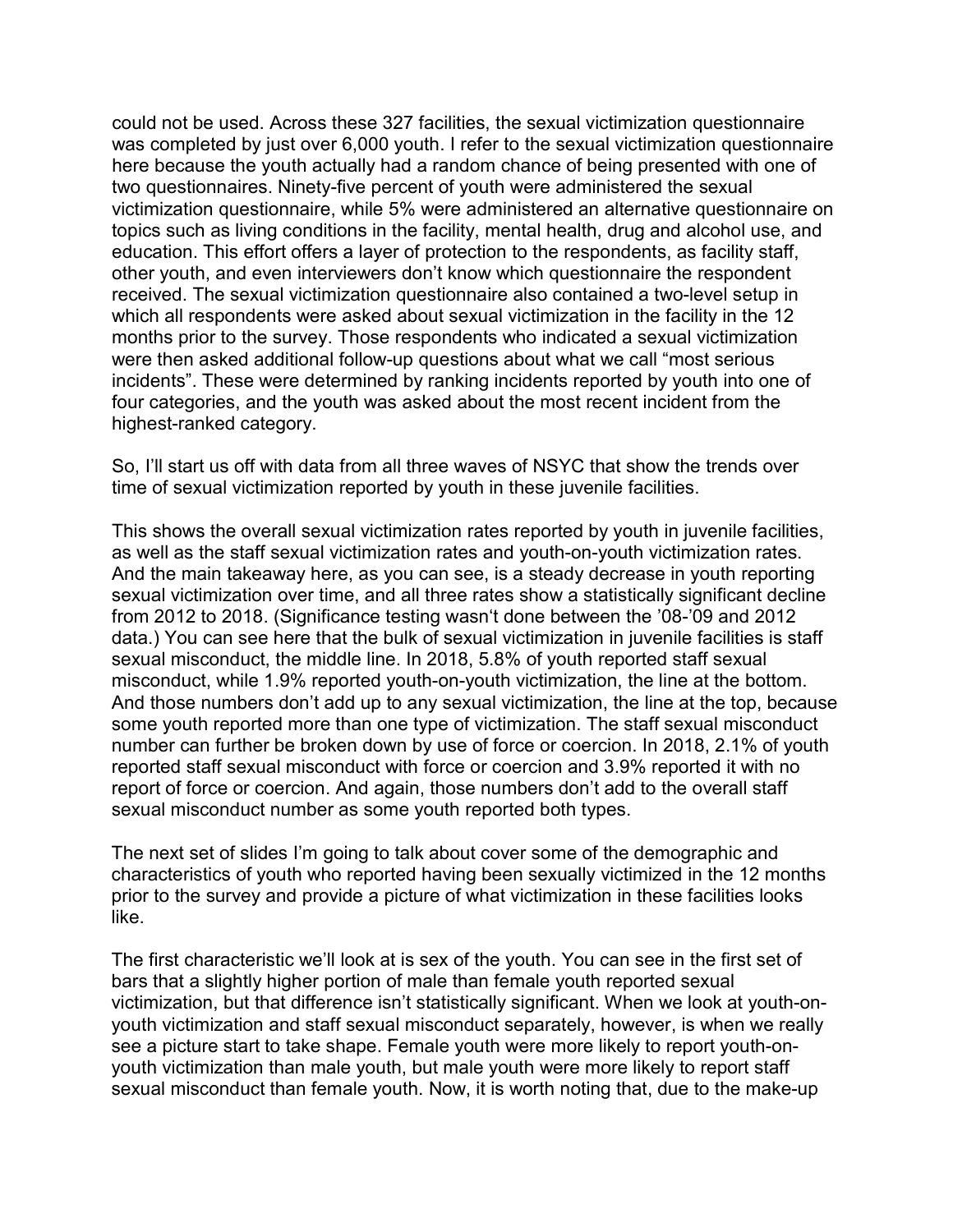could not be used. Across these 327 facilities, the sexual victimization questionnaire was completed by just over 6,000 youth. I refer to the sexual victimization questionnaire here because the youth actually had a random chance of being presented with one of two questionnaires. Ninety-five percent of youth were administered the sexual victimization questionnaire, while 5% were administered an alternative questionnaire on topics such as living conditions in the facility, mental health, drug and alcohol use, and education. This effort offers a layer of protection to the respondents, as facility staff, other youth, and even interviewers don't know which questionnaire the respondent received. The sexual victimization questionnaire also contained a two-level setup in which all respondents were asked about sexual victimization in the facility in the 12 months prior to the survey. Those respondents who indicated a sexual victimization were then asked additional follow-up questions about what we call "most serious incidents". These were determined by ranking incidents reported by youth into one of four categories, and the youth was asked about the most recent incident from the highest-ranked category.

 So, I'll start us off with data from all three waves of NSYC that show the trends over time of sexual victimization reported by youth in these juvenile facilities.

 This shows the overall sexual victimization rates reported by youth in juvenile facilities, as well as the staff sexual victimization rates and youth-on-youth victimization rates. And the main takeaway here, as you can see, is a steady decrease in youth reporting sexual victimization over time, and all three rates show a statistically significant decline from 2012 to 2018. (Significance testing wasn't done between the '08-'09 and 2012 data.) You can see here that the bulk of sexual victimization in juvenile facilities is staff sexual misconduct, the middle line. In 2018, 5.8% of youth reported staff sexual misconduct, while 1.9% reported youth-on-youth victimization, the line at the bottom. And those numbers don't add up to any sexual victimization, the line at the top, because some youth reported more than one type of victimization. The staff sexual misconduct number can further be broken down by use of force or coercion. In 2018, 2.1% of youth reported staff sexual misconduct with force or coercion and 3.9% reported it with no report of force or coercion. And again, those numbers don't add to the overall staff sexual misconduct number as some youth reported both types.

 The next set of slides I'm going to talk about cover some of the demographic and characteristics of youth who reported having been sexually victimized in the 12 months prior to the survey and provide a picture of what victimization in these facilities looks like.

 The first characteristic we'll look at is sex of the youth. You can see in the first set of bars that a slightly higher portion of male than female youth reported sexual victimization, but that difference isn't statistically significant. When we look at youth-on- youth victimization and staff sexual misconduct separately, however, is when we really see a picture start to take shape. Female youth were more likely to report youth-on- youth victimization than male youth, but male youth were more likely to report staff sexual misconduct than female youth. Now, it is worth noting that, due to the make-up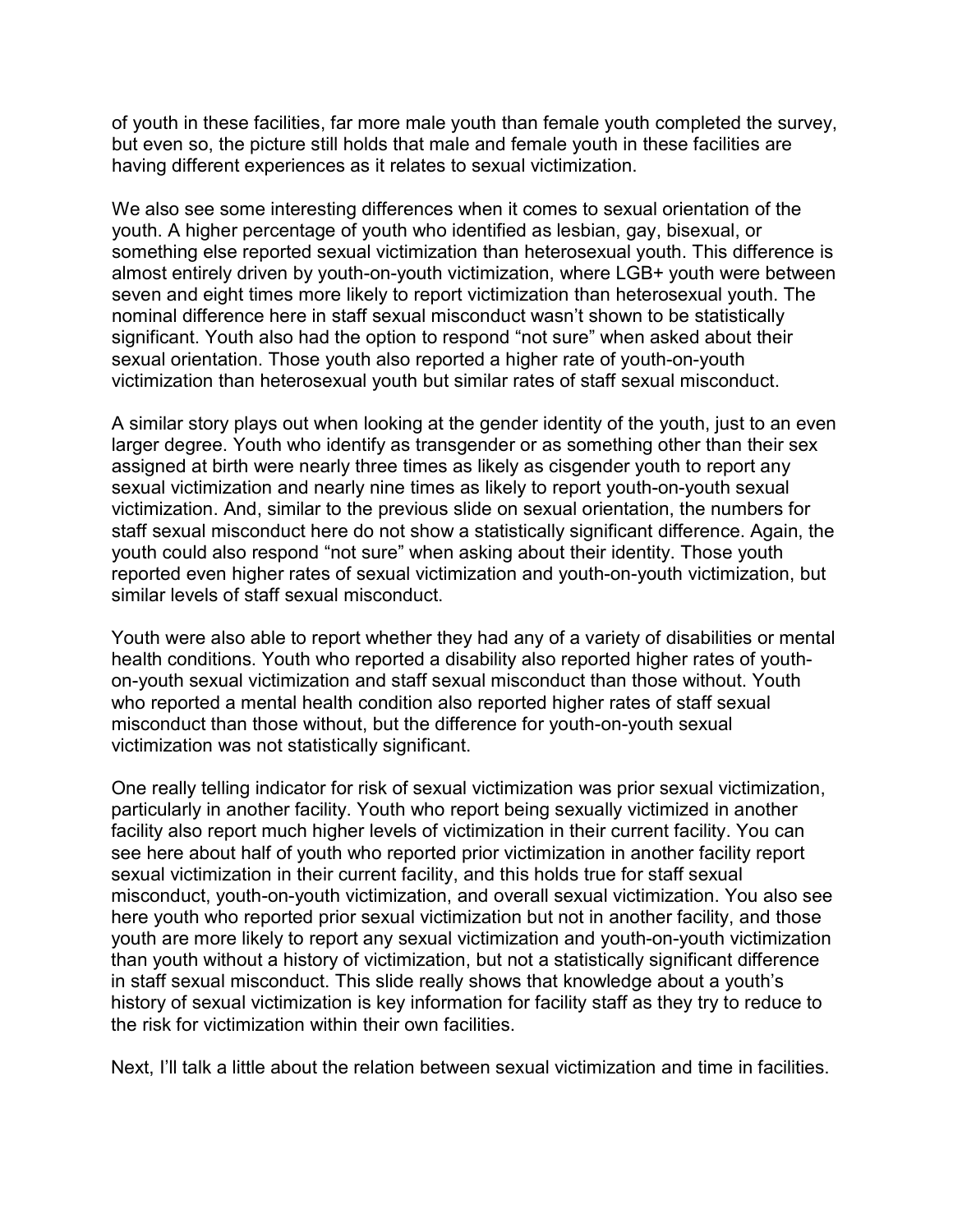of youth in these facilities, far more male youth than female youth completed the survey, but even so, the picture still holds that male and female youth in these facilities are having different experiences as it relates to sexual victimization.

 We also see some interesting differences when it comes to sexual orientation of the youth. A higher percentage of youth who identified as lesbian, gay, bisexual, or something else reported sexual victimization than heterosexual youth. This difference is almost entirely driven by youth-on-youth victimization, where LGB+ youth were between seven and eight times more likely to report victimization than heterosexual youth. The nominal difference here in staff sexual misconduct wasn't shown to be statistically significant. Youth also had the option to respond "not sure" when asked about their sexual orientation. Those youth also reported a higher rate of youth-on-youth victimization than heterosexual youth but similar rates of staff sexual misconduct.

 A similar story plays out when looking at the gender identity of the youth, just to an even larger degree. Youth who identify as transgender or as something other than their sex assigned at birth were nearly three times as likely as cisgender youth to report any sexual victimization and nearly nine times as likely to report youth-on-youth sexual victimization. And, similar to the previous slide on sexual orientation, the numbers for staff sexual misconduct here do not show a statistically significant difference. Again, the youth could also respond "not sure" when asking about their identity. Those youth reported even higher rates of sexual victimization and youth-on-youth victimization, but similar levels of staff sexual misconduct.

 Youth were also able to report whether they had any of a variety of disabilities or mental health conditions. Youth who reported a disability also reported higher rates of youth- on-youth sexual victimization and staff sexual misconduct than those without. Youth who reported a mental health condition also reported higher rates of staff sexual misconduct than those without, but the difference for youth-on-youth sexual victimization was not statistically significant.

 One really telling indicator for risk of sexual victimization was prior sexual victimization, particularly in another facility. Youth who report being sexually victimized in another facility also report much higher levels of victimization in their current facility. You can see here about half of youth who reported prior victimization in another facility report sexual victimization in their current facility, and this holds true for staff sexual misconduct, youth-on-youth victimization, and overall sexual victimization. You also see here youth who reported prior sexual victimization but not in another facility, and those youth are more likely to report any sexual victimization and youth-on-youth victimization than youth without a history of victimization, but not a statistically significant difference in staff sexual misconduct. This slide really shows that knowledge about a youth's history of sexual victimization is key information for facility staff as they try to reduce to the risk for victimization within their own facilities.

Next, I'll talk a little about the relation between sexual victimization and time in facilities.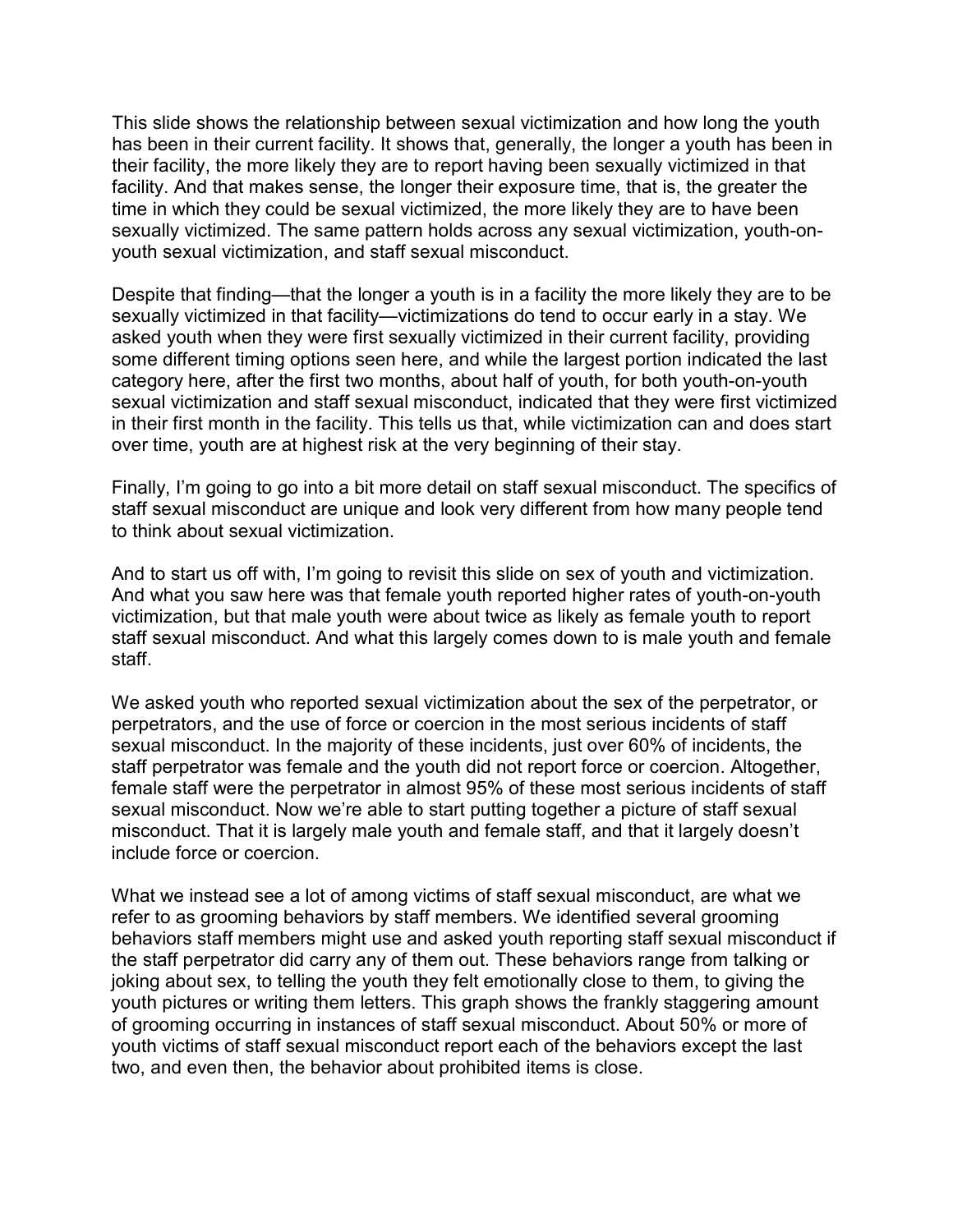This slide shows the relationship between sexual victimization and how long the youth has been in their current facility. It shows that, generally, the longer a youth has been in their facility, the more likely they are to report having been sexually victimized in that facility. And that makes sense, the longer their exposure time, that is, the greater the time in which they could be sexual victimized, the more likely they are to have been sexually victimized. The same pattern holds across any sexual victimization, youth-on-youth sexual victimization, and staff sexual misconduct.

 Despite that finding—that the longer a youth is in a facility the more likely they are to be sexually victimized in that facility—victimizations do tend to occur early in a stay. We asked youth when they were first sexually victimized in their current facility, providing some different timing options seen here, and while the largest portion indicated the last category here, after the first two months, about half of youth, for both youth-on-youth sexual victimization and staff sexual misconduct, indicated that they were first victimized in their first month in the facility. This tells us that, while victimization can and does start over time, youth are at highest risk at the very beginning of their stay.

 Finally, I'm going to go into a bit more detail on staff sexual misconduct. The specifics of staff sexual misconduct are unique and look very different from how many people tend to think about sexual victimization.

 And to start us off with, I'm going to revisit this slide on sex of youth and victimization. And what you saw here was that female youth reported higher rates of youth-on-youth victimization, but that male youth were about twice as likely as female youth to report staff sexual misconduct. And what this largely comes down to is male youth and female staff.

 We asked youth who reported sexual victimization about the sex of the perpetrator, or perpetrators, and the use of force or coercion in the most serious incidents of staff sexual misconduct. In the majority of these incidents, just over 60% of incidents, the staff perpetrator was female and the youth did not report force or coercion. Altogether, female staff were the perpetrator in almost 95% of these most serious incidents of staff misconduct. That it is largely male youth and female staff, and that it largely doesn't include force or coercion. sexual misconduct. Now we're able to start putting together a picture of staff sexual

 What we instead see a lot of among victims of staff sexual misconduct, are what we refer to as grooming behaviors by staff members. We identified several grooming behaviors staff members might use and asked youth reporting staff sexual misconduct if the staff perpetrator did carry any of them out. These behaviors range from talking or joking about sex, to telling the youth they felt emotionally close to them, to giving the youth pictures or writing them letters. This graph shows the frankly staggering amount of grooming occurring in instances of staff sexual misconduct. About 50% or more of youth victims of staff sexual misconduct report each of the behaviors except the last two, and even then, the behavior about prohibited items is close.